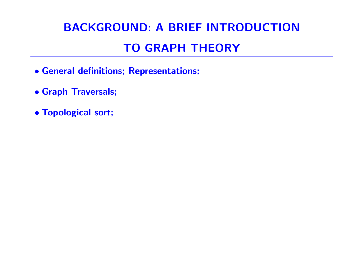# BACKGROUND: A BRIEF INTRODUCTION TO GRAPH THEORY

- General definitions; Representations;
- Graph Traversals;
- Topological sort;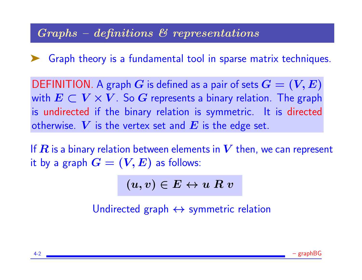### Graphs – definitions & representations

➤ Graph theory is a fundamental tool in sparse matrix techniques.

DEFINITION. A graph G is defined as a pair of sets  $G = (V, E)$ with  $E \subset V \times V$ . So G represents a binary relation. The graph is undirected if the binary relation is symmetric. It is directed otherwise. V is the vertex set and E is the edge set.

If  $\bm{R}$  is a binary relation between elements in  $\bm{V}$  then, we can represent it by a graph  $G = (V, E)$  as follows:

 $(u, v) \in E \leftrightarrow u R v$ 

Undirected graph  $\leftrightarrow$  symmetric relation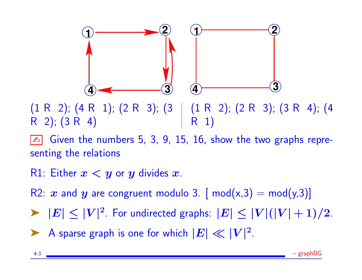

(1 R 2); (4 R 1); (2 R 3); (3 R 2); (3 R 4) (1 R 2); (2 R 3); (3 R 4); (4 R 1)

Given the numbers 5, 3, 9, 15, 16, show the two graphs representing the relations

R1: Either  $x < y$  or  $y$  divides  $x$ .

R2: x and y are congruent modulo 3. [ mod(x,3) = mod(y,3)]

 $\blacktriangleright$   $|E| \leq |V|^2$ . For undirected graphs:  $|E| \leq |V|(|V|+1)/2$ .

A sparse graph is one for which  $|E| \ll |V|^2$ .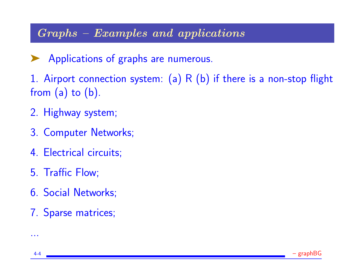### Graphs – Examples and applications

- ▶ Applications of graphs are numerous.
- 1. Airport connection system:  $(a)$  R  $(b)$  if there is a non-stop flight from  $(a)$  to  $(b)$ .
- 2. Highway system;
- 3. Computer Networks;
- 4. Electrical circuits;
- 5. Traffic Flow;
- 6. Social Networks;
- 7. Sparse matrices;



...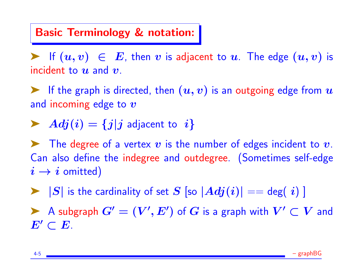#### Basic Terminology & notation:

Figure 1. If  $(u, v) \in E$ , then v is adjacent to u. The edge  $(u, v)$  is incident to  $u$  and  $v$ .

Fig. 1.1 The graph is directed, then  $(u, v)$  is an outgoing edge from  $u$ and incoming edge to  $\boldsymbol{v}$ 

$$
\blacktriangleright \; Adj(i) = \{j | j \text{ adjacent to } i\}
$$

 $\blacktriangleright$  The degree of a vertex  $v$  is the number of edges incident to  $v$ . Can also define the indegree and outdegree. (Sometimes self-edge  $i \rightarrow i$  omitted)

 $\blacktriangleright$   $|S|$  is the cardinality of set S [so  $|Adj(i)| == \deg(i)$  ]

A subgraph  $G' = (V', E')$  of  $G$  is a graph with  $V' \subset V$  and  $E'\subset E$ .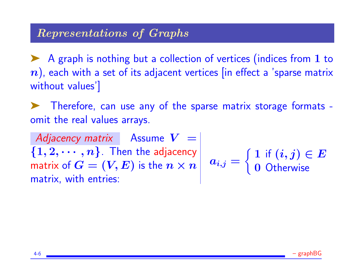### Representations of Graphs

▶ A graph is nothing but a collection of vertices (indices from 1 to  $n$ ), each with a set of its adjacent vertices [in effect a 'sparse matrix without values']

Therefore, can use any of the sparse matrix storage formats omit the real values arrays.

Adjacency matrix Assume  $V =$  $\{1,2,\cdots,n\}$ . Then the adjacency matrix of  $\overrightarrow{G} = (V, E)$  is the  $n \times n$   $a_{i,j} =$ matrix, with entries:  $\int 1$  if  $(i, j) \in E$ 0 Otherwise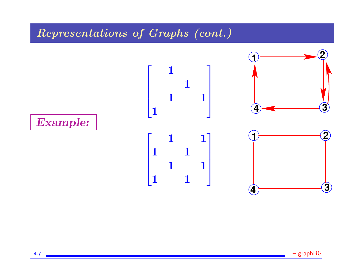### Representations of Graphs (cont.)



4-7 – graphBG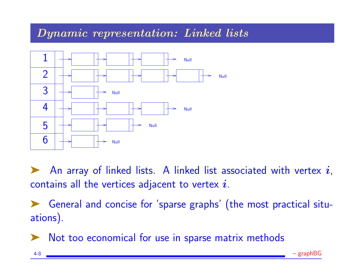#### Dynamic representation: Linked lists



An array of linked lists. A linked list associated with vertex  $i$ , contains all the vertices adjacent to vertex  $i$ .

➤ General and concise for 'sparse graphs' (the most practical situations).

Not too economical for use in sparse matrix methods

4-8 **Figure 2018** – and the set of the set of the set of the set of the set of the set of the set of the set of the set of the set of the set of the set of the set of the set of the set of the set of the set of the set of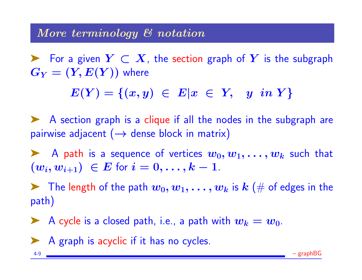#### More terminology & notation

For a given  $Y \subset X$ , the section graph of Y is the subgraph  $G_Y = (Y, E(Y))$  where

 $E(Y) = \{(x, y) \in E | x \in Y, y \in Y\}$ 

➤ A section graph is a clique if all the nodes in the subgraph are pairwise adjacent  $(\rightarrow$  dense block in matrix)

A path is a sequence of vertices  $w_0, w_1, \ldots, w_k$  such that  $(w_i, w_{i+1}) \in E$  for  $i = 0, \ldots, k-1$ .

 $\blacktriangleright$  The length of the path  $w_0, w_1, \ldots, w_k$  is  $k \ (\#$  of edges in the path)

A cycle is a closed path, i.e., a path with  $w_k = w_0$ .

➤ A graph is acyclic if it has no cycles.

4-9 **– Example 2018** – graphBG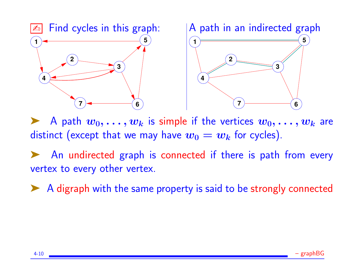

A path  $w_0, \ldots, w_k$  is simple if the vertices  $w_0, \ldots, w_k$  are distinct (except that we may have  $w_0 = w_k$  for cycles).

An undirected graph is connected if there is path from every vertex to every other vertex.

➤ A digraph with the same property is said to be strongly connected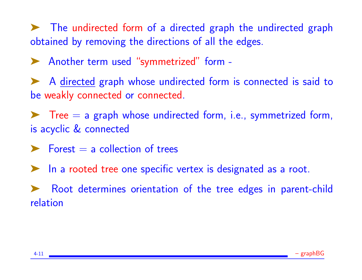➤ The undirected form of a directed graph the undirected graph obtained by removing the directions of all the edges.

▶ Another term used "symmetrized" form -

➤ A directed graph whose undirected form is connected is said to be weakly connected or connected.

 $\blacktriangleright$  Tree  $=$  a graph whose undirected form, i.e., symmetrized form, is acyclic & connected

 $\blacktriangleright$  Forest = a collection of trees

➤ In a rooted tree one specific vertex is designated as a root.

Root determines orientation of the tree edges in parent-child relation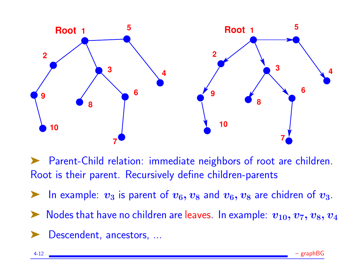

Parent-Child relation: immediate neighbors of root are children. Root is their parent. Recursively define children-parents

In example:  $v_3$  is parent of  $v_6, v_8$  and  $v_6, v_8$  are chidren of  $v_3$ .

Nodes that have no children are leaves. In example:  $v_{10}, v_7, v_8, v_4$ 

Descendent, ancestors, ...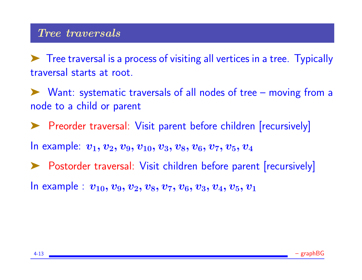#### Tree traversals

➤ Tree traversal is a process of visiting all vertices in a tree. Typically traversal starts at root.

➤ Want: systematic traversals of all nodes of tree – moving from a node to a child or parent

➤ Preorder traversal: Visit parent before children [recursively]

In example:  $v_1, v_2, v_9, v_{10}, v_3, v_8, v_6, v_7, v_5, v_4$ 

▶ Postorder traversal: Visit children before parent [recursively]

In example :  $v_{10}, v_{9}, v_{2}, v_{8}, v_{7}, v_{6}, v_{3}, v_{4}, v_{5}, v_{1}$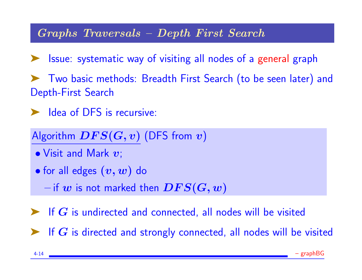#### Graphs Traversals – Depth First Search

➤ Issue: systematic way of visiting all nodes of a general graph

➤ Two basic methods: Breadth First Search (to be seen later) and Depth-First Search

➤ Idea of DFS is recursive:

Algorithm  $DFS(G, v)$  (DFS from  $v)$ 

- $\bullet$  Visit and Mark  $\bm{v}$ ;
- for all edges  $(v, w)$  do

 $-$  if  $w$  is not marked then  $DFS(G, w)$ 

 $\blacktriangleright$  If  $G$  is undirected and connected, all nodes will be visited

 $\blacktriangleright$  If  $G$  is directed and strongly connected, all nodes will be visited

4-14 **Figure 2018** – and the set of the set of the set of the set of the set of the set of the set of the set of the set of the set of the set of the set of the set of the set of the set of the set of the set of the set of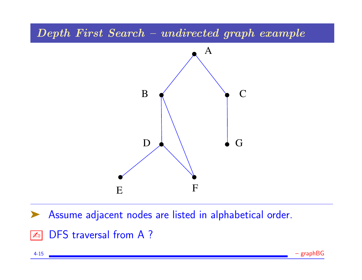#### Depth First Search – undirected graph example



Assume adjacent nodes are listed in alphabetical order.

**EDES** traversal from A?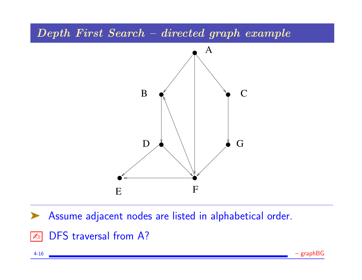#### Depth First Search – directed graph example



Assume adjacent nodes are listed in alphabetical order.

**EDES** traversal from A?

4-16 – graphBG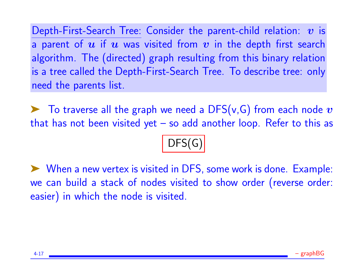Depth-First-Search Tree: Consider the parent-child relation:  $v$  is a parent of  $u$  if  $u$  was visited from  $v$  in the depth first search algorithm. The (directed) graph resulting from this binary relation is a tree called the Depth-First-Search Tree. To describe tree: only need the parents list.

 $\blacktriangleright$  To traverse all the graph we need a DFS(v,G) from each node  $v$ that has not been visited yet  $-$  so add another loop. Refer to this as

DFS(G)

# ➤ When a new vertex is visited in DFS, some work is done. Example: we can build a stack of nodes visited to show order (reverse order: easier) in which the node is visited.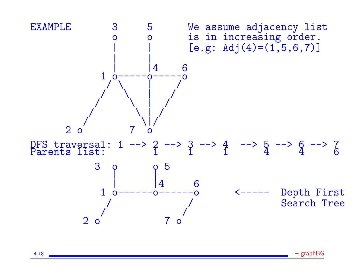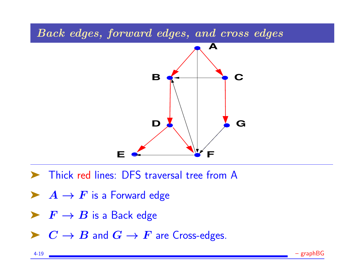



- ➤ Thick red lines: DFS traversal tree from A
- $\blacktriangleright$   $A \rightarrow F$  is a Forward edge
- $\blacktriangleright$   $F \to B$  is a Back edge
- $\blacktriangleright$   $C \rightarrow B$  and  $G \rightarrow F$  are Cross-edges.

4-19 – graphBG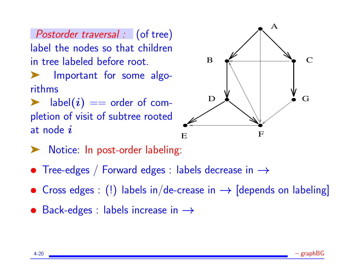Postorder traversal : (of tree) label the nodes so that children in tree labeled before root.

**Important for some algo**rithms

 $\blacktriangleright$  label $(i) ==$  order of completion of visit of subtree rooted at node  $i$ 



- Notice: In post-order labeling:
- Tree-edges / Forward edges : labels decrease in  $\rightarrow$
- Cross edges : (!) labels in/de-crease in  $\rightarrow$  [depends on labeling]
- Back-edges : labels increase in  $\rightarrow$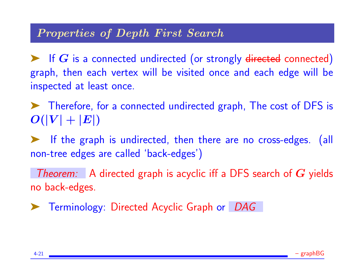### Properties of Depth First Search

 $\blacktriangleright$  If  $G$  is a connected undirected (or strongly directed connected) graph, then each vertex will be visited once and each edge will be inspected at least once.

➤ Therefore, for a connected undirected graph, The cost of DFS is  $O(|V| + |E|)$ 

➤ If the graph is undirected, then there are no cross-edges. (all non-tree edges are called 'back-edges')

Theorem: A directed graph is acyclic iff a DFS search of  $G$  yields no back-edges.

➤ Terminology: Directed Acyclic Graph or DAG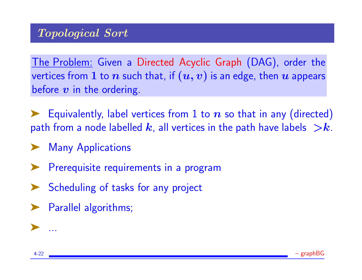The Problem: Given a Directed Acyclic Graph (DAG), order the vertices from 1 to *n* such that, if  $(u, v)$  is an edge, then *u* appears before  $v$  in the ordering.

Equivalently, label vertices from 1 to  $n$  so that in any (directed) path from a node labelled  $k$ , all vertices in the path have labels  $\geq k$ .

- **Many Applications**
- Prerequisite requirements in a program
- Scheduling of tasks for any project
- ➤ Parallel algorithms;



➤ ...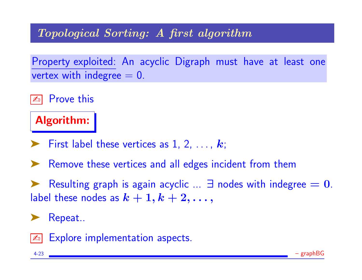### Topological Sorting: A first algorithm

Property exploited: An acyclic Digraph must have at least one vertex with indegree  $= 0$ .

**Extra** Prove this

Algorithm:

- $\blacktriangleright$  First label these vertices as 1, 2, ...,  $k$ ;
- ▶ Remove these vertices and all edges incident from them

Resulting graph is again acyclic  $\ldots$   $\exists$  nodes with indegree  $= 0$ . label these nodes as  $k+1, k+2, \ldots,$ 

Repeat..



Explore implementation aspects.

4-23 – graphBG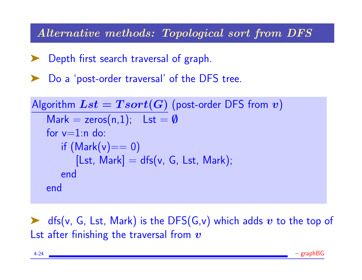Alternative methods: Topological sort from DFS

Depth first search traversal of graph.

Do a 'post-order traversal' of the DFS tree.

| Algorithm $Lst = Tsort(G)$ (post-order DFS from $v$ ) |                   |
|-------------------------------------------------------|-------------------|
| Mark = zeros(n,1);                                    | Lst = $\emptyset$ |
| for v=1:n do:                                         |                   |
| if (Mark(v)=0)                                        |                   |
| [Lst, Mark] = dfs(v, G, Lst, Mark);                   |                   |
| end                                                   |                   |

 $\blacktriangleright$  dfs(v, G, Lst, Mark) is the DFS(G,v) which adds v to the top of Lst after finishing the traversal from  $v$ 

4-24 – graphBG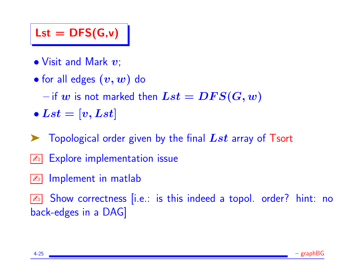# $\mathsf{Lst} = \mathsf{DFS}(G, v)$

- $\bullet$  Visit and Mark  $v$ ;
- for all edges  $(v, w)$  do

 $-$  if  $w$  is not marked then  $Lst = DFS(G, w)$ 

- $\bullet$  Lst  $=$   $[v, Lst]$
- $\blacktriangleright$  Topological order given by the final  $Lst$  array of Tsort
- **Explore implementation issue**
- **E** Implement in matlab

**Ex** Show correctness [i.e.: is this indeed a topol. order? hint: no back-edges in a DAG]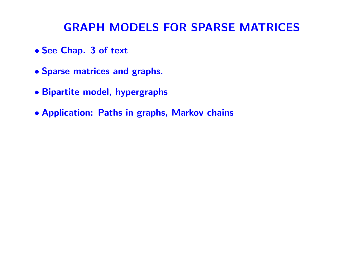## GRAPH MODELS FOR SPARSE MATRICES

- See Chap. 3 of text
- Sparse matrices and graphs.
- Bipartite model, hypergraphs
- Application: Paths in graphs, Markov chains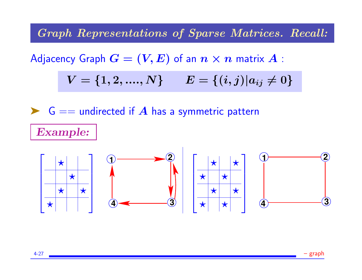Graph Representations of Sparse Matrices. Recall:

Adjacency Graph  $G = (V, E)$  of an  $n \times n$  matrix  $A$ :

$$
V = \{1,2,....,N\} \qquad E = \{(i,j) | a_{ij} \neq 0\}
$$



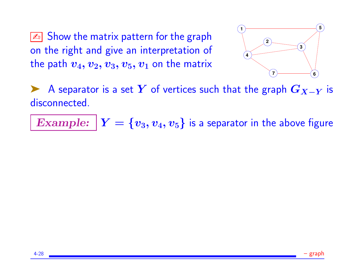$\sqrt{\mathbb{A}}$  Show the matrix pattern for the graph on the right and give an interpretation of the path  $v_4, v_2, v_3, v_5, v_1$  on the matrix



A separator is a set Y of vertices such that the graph  $G_{X-Y}$  is disconnected.

Example:  $Y = \{v_3, v_4, v_5\}$  is a separator in the above figure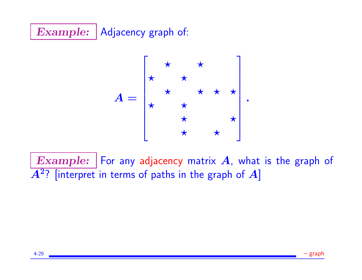# Example: Adjacency graph of:

$$
A = \begin{bmatrix} \star & \star & \star \\ \star & \star & \star & \star \\ \star & \star & \star & \star \\ \star & \star & \star & \star \end{bmatrix}.
$$

Example: | For any adjacency matrix  $A$ , what is the graph of  $\overline{A^2?}$  [interpret in terms of paths in the graph of  $A]$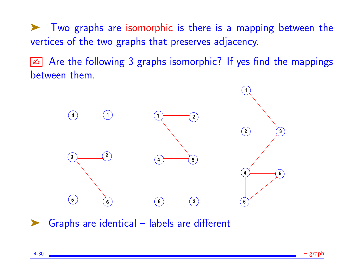➤ Two graphs are isomorphic is there is a mapping between the vertices of the two graphs that preserves adjacency.

**Ext** Are the following 3 graphs isomorphic? If yes find the mappings between them.



Graphs are identical – labels are different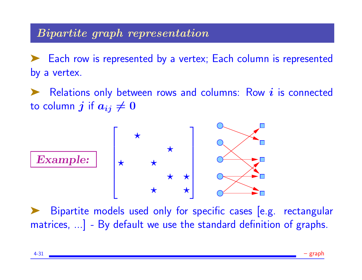### Bipartite graph representation

➤ Each row is represented by a vertex; Each column is represented by a vertex.

Relations only between rows and columns: Row  $i$  is connected to column j if  $a_{ij} \neq 0$ 



Bipartite models used only for specific cases [e.g. rectangular matrices, ...] - By default we use the standard definition of graphs.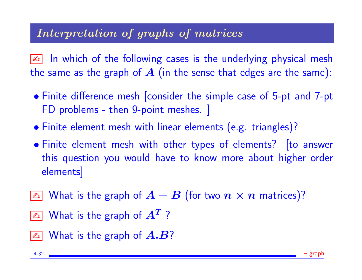### Interpretation of graphs of matrices

**<u>A</u>** In which of the following cases is the underlying physical mesh the same as the graph of  $A$  (in the sense that edges are the same):

- Finite difference mesh [consider the simple case of 5-pt and 7-pt FD problems - then 9-point meshes. ]
- Finite element mesh with linear elements (e.g. triangles)?
- Finite element mesh with other types of elements? [to answer this question you would have to know more about higher order elements]
- $\boxed{\mathbb{Z}^n}$  What is the graph of  $A + B$  (for two  $n \times n$  matrices)?
- $\boxed{\mathbb{Z}_\mathbb{D}}$  What is the graph of  $A^T$  ?
- $\boxed{\mathbb{Z}^n}$  What is the graph of  $A.B?$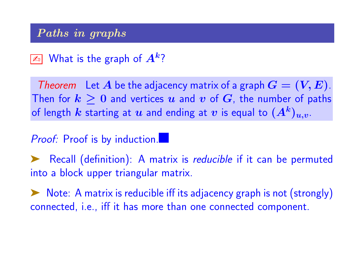#### Paths in graphs

# $\boxed{\mathbb{Z}_\mathbb{D}}$  What is the graph of  $A^k?$

Theorem Let A be the adjacency matrix of a graph  $G = (V, E)$ . Then for  $k \geq 0$  and vertices  $u$  and  $v$  of  $G$ , the number of paths of length  $k$  starting at  $u$  and ending at  $v$  is equal to  $(A^{k})_{u,v}.$ 

#### Proof: Proof is by induction.

▶ Recall (definition): A matrix is *reducible* if it can be permuted into a block upper triangular matrix.

➤ Note: A matrix is reducible iff its adjacency graph is not (strongly) connected, i.e., iff it has more than one connected component.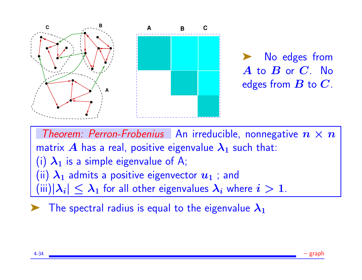

No edges from  $\overline{A}$  to  $\overline{B}$  or  $\overline{C}$ . No edges from  $B$  to  $C$ .

Theorem: Perron-Frobenius An irreducible, nonnegative  $n \times n$ matrix A has a real, positive eigenvalue  $\lambda_1$  such that: (i)  $\lambda_1$  is a simple eigenvalue of A; (ii)  $\lambda_1$  admits a positive eigenvector  $u_1$  ; and  $\min(|\lambda_i|\leq\lambda_1$  for all other eigenvalues  $\lambda_i$  where  $i>1.1$ 

The spectral radius is equal to the eigenvalue  $\lambda_1$ 

4-34 – graph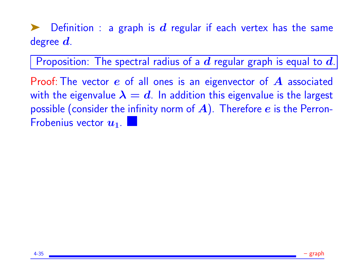$\blacksquare$  Definition : a graph is  $\boldsymbol{d}$  regular if each vertex has the same degree  $d$ .

Proposition: The spectral radius of a  $d$  regular graph is equal to  $d$ .

Proof: The vector  $e$  of all ones is an eigenvector of  $\bm{A}$  associated with the eigenvalue  $\lambda = d$ . In addition this eigenvalue is the largest possible (consider the infinity norm of  $A$ ). Therefore  $e$  is the Perron-Frobenius vector  $u_1$ .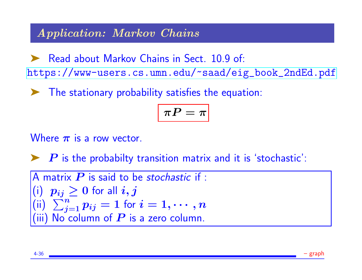#### Application: Markov Chains

▶ Read about Markov Chains in Sect. 10.9 of: [https://www-users.cs.umn.edu/~saad/eig\\_book\\_2ndEd.pdf](https://www-users.cs.umn.edu/~saad/eig_book_2ndEd.pdf)

➤ The stationary probability satisfies the equation:

$$
\boxed{\pi P = \pi}
$$

Where  $\pi$  is a row vector.

 $\blacktriangleright$   $P$  is the probabilty transition matrix and it is 'stochastic':

A matrix 
$$
P
$$
 is said to be stochastic if :  
\n(i)  $p_{ij} \ge 0$  for all  $i, j$   
\n(ii)  $\sum_{j=1}^{n} p_{ij} = 1$  for  $i = 1, \dots, n$   
\n(iii) No column of  $P$  is a zero column.

4-36 – graph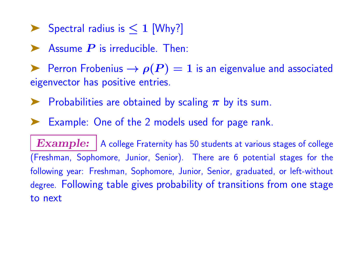▶ Spectral radius is  $\leq 1$  [Why?]

Assume  $P$  is irreducible. Then:

Perron Frobenius  $\rightarrow \rho(P) = 1$  is an eigenvalue and associated eigenvector has positive entries.

 $\blacktriangleright$  Probabilities are obtained by scaling  $\pi$  by its sum.

Example: One of the 2 models used for page rank.

 $\boldsymbol{Example:} \, |$  A college Fraternity has 50 students at various stages of college (Freshman, Sophomore, Junior, Senior). There are 6 potential stages for the following year: Freshman, Sophomore, Junior, Senior, graduated, or left-without degree. Following table gives probability of transitions from one stage to next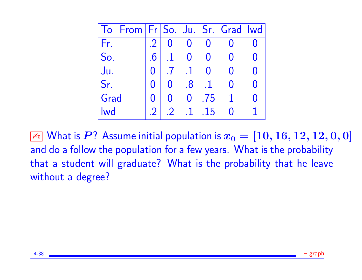| From   Fr   So.   Ju.   Sr.   Grad  <br>To |        |   |          |     | wd |
|--------------------------------------------|--------|---|----------|-----|----|
| Fr.                                        | .2     |   |          |     |    |
| So.                                        | $.6\,$ |   |          |     |    |
| Ju.                                        |        |   |          |     |    |
| Sr.                                        |        | 0 | $.8\,$   |     |    |
| Grad                                       |        | 0 | $\Omega$ | .75 |    |
| <b>Iwd</b>                                 |        |   |          |     |    |

 $\boxed{\mathbb{Z}^2}$  What is  $P$ ? Assume initial population is  $x_0 = [10, 16, 12, 12, 0, 0]$ and do a follow the population for a few years. What is the probability that a student will graduate? What is the probability that he leave without a degree?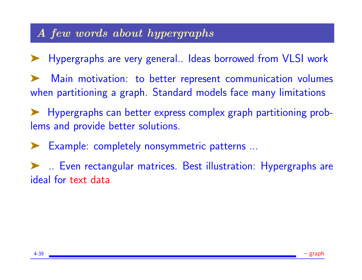### A few words about hypergraphs

➤ Hypergraphs are very general.. Ideas borrowed from VLSI work

Main motivation: to better represent communication volumes when partitioning a graph. Standard models face many limitations

➤ Hypergraphs can better express complex graph partitioning problems and provide better solutions.

Example: completely nonsymmetric patterns ...

➤ .. Even rectangular matrices. Best illustration: Hypergraphs are ideal for text data